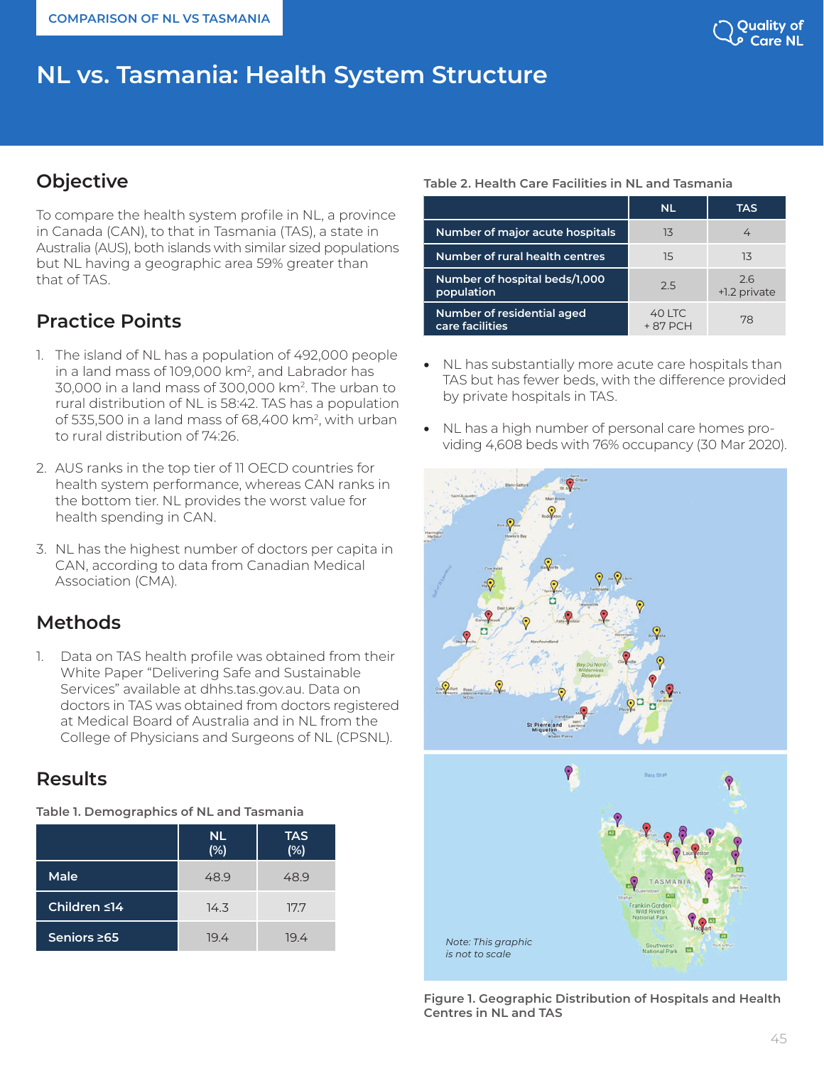# **NL vs. Tasmania: Health System Structure**

# **Objective**

To compare the health system profile in NL, a province in Canada (CAN), to that in Tasmania (TAS), a state in Australia (AUS), both islands with similar sized populations but NL having a geographic area 59% greater than that of TAS.

# **Practice Points**

- 1. The island of NL has a population of 492,000 people in a land mass of 109,000 km<sup>2</sup>, and Labrador has 30,000 in a land mass of 300,000 km2. The urban to rural distribution of NL is 58:42. TAS has a population of 535,500 in a land mass of 68,400 km2, with urban to rural distribution of 74:26.
- 2. AUS ranks in the top tier of 11 OECD countries for health system performance, whereas CAN ranks in the bottom tier. NL provides the worst value for health spending in CAN.
- 3. NL has the highest number of doctors per capita in CAN, according to data from Canadian Medical Association (CMA).

# **Methods**

1. Data on TAS health profile was obtained from their White Paper "Delivering Safe and Sustainable Services" available at dhhs.tas.gov.au. Data on doctors in TAS was obtained from doctors registered at Medical Board of Australia and in NL from the College of Physicians and Surgeons of NL (CPSNL).

### **Results**

**Table 1. Demographics of NL and Tasmania**

|              | <b>NL</b><br>(%) | <b>TAS</b><br>(%) |
|--------------|------------------|-------------------|
| Male         | 48.9             | 48.9              |
| Children ≤14 | 14.3             | 17.7              |
| Seniors 265  | 19.4             | 19.4              |

### **Table 2. Health Care Facilities in NL and Tasmania**

|                                               | <b>NL</b>           | TAS                |
|-----------------------------------------------|---------------------|--------------------|
| Number of major acute hospitals               | 13                  |                    |
| Number of rural health centres                | 15                  | 13                 |
| Number of hospital beds/1,000<br>population   | 2.5                 | 26<br>+1.2 private |
| Number of residential aged<br>care facilities | 40 LTC<br>$+87$ PCH | 78                 |

- NL has substantially more acute care hospitals than TAS but has fewer beds, with the difference provided by private hospitals in TAS.
- NL has a high number of personal care homes providing 4,608 beds with 76% occupancy (30 Mar 2020).





**Figure 1. Geographic Distribution of Hospitals and Health Centres in NL and TAS**